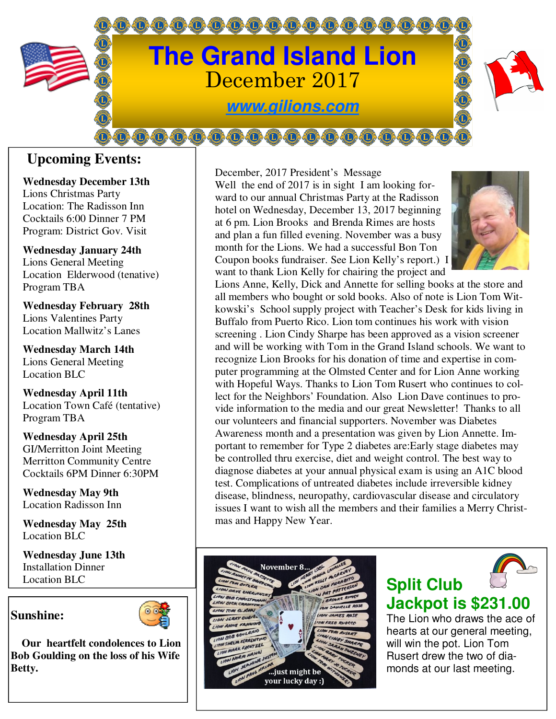

## **Upcoming Events:**

**Wednesday December 13th**  Lions Christmas Party Location: The Radisson Inn Cocktails 6:00 Dinner 7 PM Program: District Gov. Visit

**Wednesday January 24th**  Lions General Meeting Location Elderwood (tenative) Program TBA

**Wednesday February 28th**  Lions Valentines Party Location Mallwitz's Lanes

**Wednesday March 14th**  Lions General Meeting Location BLC

**Wednesday April 11th**  Location Town Café (tentative) Program TBA

**Wednesday April 25th**  GI/Merritton Joint Meeting Merritton Community Centre Cocktails 6PM Dinner 6:30PM

**Wednesday May 9th**  Location Radisson Inn

**Wednesday May 25th**  Location BLC

**Wednesday June 13th**  Installation Dinner Location BLC

## **Sunshine:**



 **Our heartfelt condolences to Lion Bob Goulding on the loss of his Wife Betty.** 

December, 2017 President's Message Well the end of 2017 is in sight I am looking forward to our annual Christmas Party at the Radisson hotel on Wednesday, December 13, 2017 beginning at 6 pm. Lion Brooks and Brenda Rimes are hosts and plan a fun filled evening. November was a busy month for the Lions. We had a successful Bon Ton Coupon books fundraiser. See Lion Kelly's report.) I want to thank Lion Kelly for chairing the project and



Lions Anne, Kelly, Dick and Annette for selling books at the store and all members who bought or sold books. Also of note is Lion Tom Witkowski's School supply project with Teacher's Desk for kids living in Buffalo from Puerto Rico. Lion tom continues his work with vision screening . Lion Cindy Sharpe has been approved as a vision screener and will be working with Tom in the Grand Island schools. We want to recognize Lion Brooks for his donation of time and expertise in computer programming at the Olmsted Center and for Lion Anne working with Hopeful Ways. Thanks to Lion Tom Rusert who continues to collect for the Neighbors' Foundation. Also Lion Dave continues to provide information to the media and our great Newsletter! Thanks to all our volunteers and financial supporters. November was Diabetes Awareness month and a presentation was given by Lion Annette. Important to remember for Type 2 diabetes are:Early stage diabetes may be controlled thru exercise, diet and weight control. The best way to diagnose diabetes at your annual physical exam is using an A1C blood test. Complications of untreated diabetes include irreversible kidney disease, blindness, neuropathy, cardiovascular disease and circulatory issues I want to wish all the members and their families a Merry Christmas and Happy New Year.

## November 8 .just might be your lucky day :)



## **Jackpot is \$231.00**

**Split Club** 

The Lion who draws the ace of hearts at our general meeting, will win the pot. Lion Tom Rusert drew the two of diamonds at our last meeting.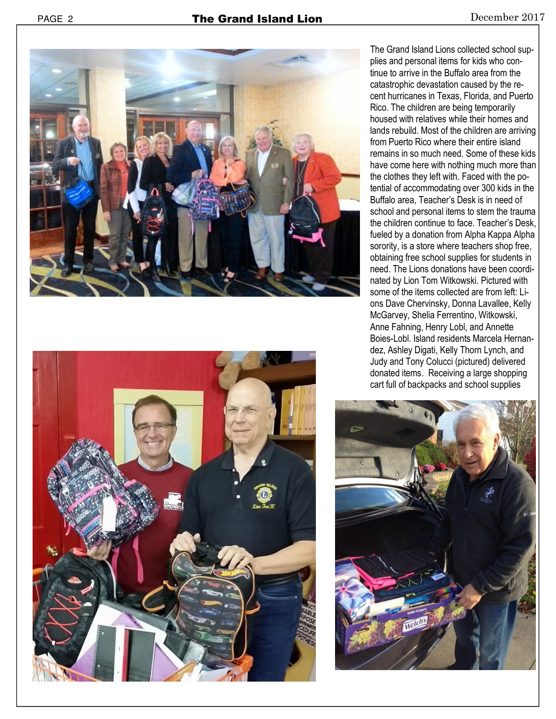



The Grand Island Lions collected school supplies and personal items for kids who continue to arrive in the Buffalo area from the catastrophic devastation caused by the recent hurricanes in Texas, Florida, and Puerto Rico. The children are being temporarily housed with relatives while their homes and lands rebuild. Most of the children are arriving from Puerto Rico where their entire island remains in so much need. Some of these kids have come here with nothing much more than the clothes they left with. Faced with the potential of accommodating over 300 kids in the Buffalo area, Teacher's Desk is in need of school and personal items to stem the trauma the children continue to face. Teacher's Desk, fueled by a donation from Alpha Kappa Alpha sorority, is a store where teachers shop free, obtaining free school supplies for students in need. The Lions donations have been coordinated by Lion Tom Witkowski. Pictured with some of the items collected are from left: Lions Dave Chervinsky, Donna Lavallee, Kelly McGarvey, Shelia Ferrentino, Witkowski, Anne Fahning, Henry Lobl, and Annette Boies-Lobl. Island residents Marcela Hernandez, Ashley Digati, Kelly Thorn Lynch, and Judy and Tony Colucci (pictured) delivered donated items. Receiving a large shopping cart full of backpacks and school supplies